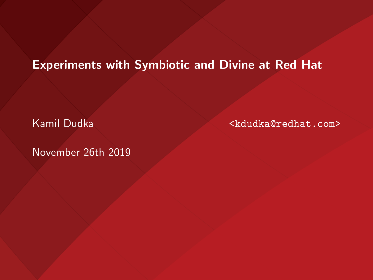#### Experiments with Symbiotic and Divine at Red Hat

November 26th 2019

Kamil Dudka <kdudka@redhat.com>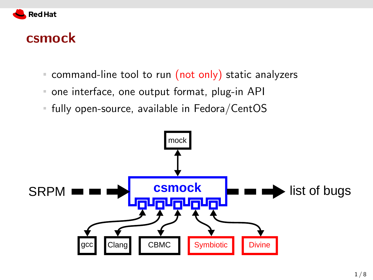

#### csmock

- **Command-line tool to run (not only) static analyzers**
- one interface, one output format, plug-in API  $\mathbb{R}^n$
- fully open-source, available in Fedora/CentOS  $\mathbb{R}^n$

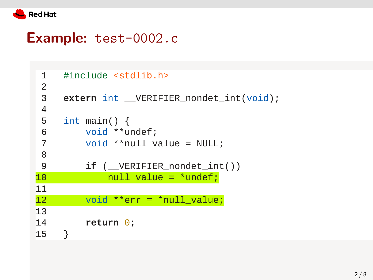

#### Example: test-0002.c

```
 1 #include <stdlib.h>
 \frac{2}{3}extern int __VERIFIER_nondet_int(void);
  4 
 5 int main() {
  6 void **undef;
  7 void **null_value = NULL;
  8 
  9 if (__VERIFIER_nondet_int())
10 null_value = *undef;
11 
12 void **err = *null_value;
13 
14 return 0;
15 }
```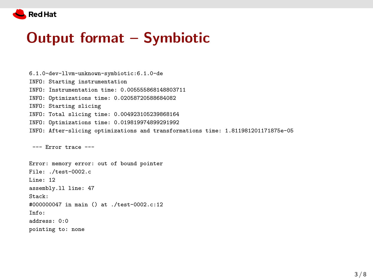

### Output format – Symbiotic

6.1.0-dev-llvm-unknown-symbiotic:6.1.0-de INFO: Starting instrumentation INFO: Instrumentation time: 0.005555868148803711 INFO: Optimizations time: 0.02058720588684082 INFO: Starting slicing INFO: Total slicing time: 0.004923105239868164 INFO: Optimizations time: 0.019819974899291992 INFO: After-slicing optimizations and transformations time: 1.811981201171875e-05 --- Error trace ---

Error: memory error: out of bound pointer File: ./test-0002.c Line: 12 assembly.ll line: 47 Stack: #000000047 in main () at ./test-0002.c:12  $Infor$ address: 0:0 pointing to: none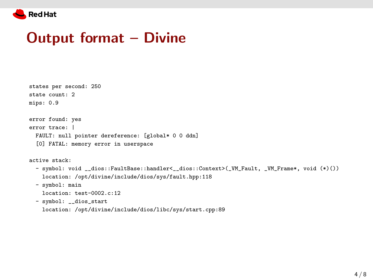

### Output format – Divine

| states per second: 250                                                                        |
|-----------------------------------------------------------------------------------------------|
| state count: 2                                                                                |
| mips: 0.9                                                                                     |
|                                                                                               |
| error found: yes                                                                              |
| error trace:                                                                                  |
| FAULT: null pointer dereference: [global* 0 0 ddn]                                            |
| [0] FATAL: memory error in userspace                                                          |
|                                                                                               |
| active stack:                                                                                 |
| - symbol: void __dios::FaultBase::handler<__dios::Context>(_VM_Fault, _VM_Frame*, void (*)()) |
| location: /opt/divine/include/dios/sys/fault.hpp:118                                          |

- symbol: main

location: test-0002.c:12

- symbol: \_\_dios\_start

location: /opt/divine/include/dios/libc/sys/start.cpp:89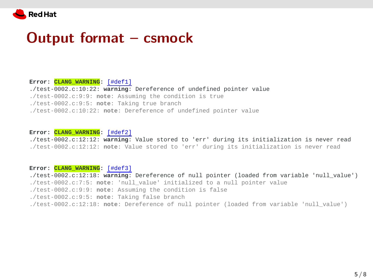

#### Output format – csmock

**Error: CLANG\_WARNING:** [#def1] ./test-0002.c:10:22: **warning**: Dereference of undefined pointer value ./test-0002.c:9:9: **note**: Assuming the condition is true ./test-0002.c:9:5: **note**: Taking true branch ./test-0002.c:10:22: **note**: Dereference of undefined pointer value

**Error: CLANG\_WARNING:** [#def2]

./test-0002.c:12:12: **warning**: Value stored to 'err' during its initialization is never read ./test-0002.c:12:12: **note**: Value stored to 'err' during its initialization is never read

#### **Error: CLANG\_WARNING:** [#def3]

./test-0002.c:12:18: **warning**: Dereference of null pointer (loaded from variable 'null\_value')

- ./test-0002.c:7:5: **note**: 'null\_value' initialized to a null pointer value
- ./test-0002.c:9:9: **note**: Assuming the condition is false
- ./test-0002.c:9:5: **note**: Taking false branch
- ./test-0002.c:12:18: **note**: Dereference of null pointer (loaded from variable 'null\_value')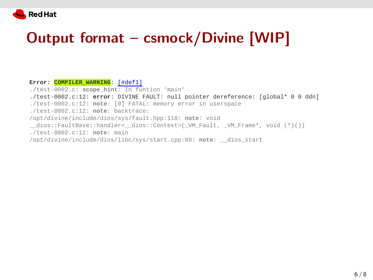

## Output format – csmock/Divine [WIP]

**Error: COMPILER\_WARNING:** [#def1]

- ./test-0002.c: **scope\_hint**: In funtion 'main'
- ./test-0002.c:12: **error**: DIVINE FAULT: null pointer dereference: [global\* 0 0 ddn] ./test-0002.c:12: **note**: [0] FATAL: memory error in userspace ./test-0002.c:12: **note**: backtrace: /opt/divine/include/dios/sys/fault.hpp:118: **note**: void dios::FaultBase::handler< dios::Context>( VM Fault, VM Frame\*, void (\*)()) ./test-0002.c:12: **note**: main /opt/divine/include/dios/libc/sys/start.cpp:89: **note**: \_\_dios\_start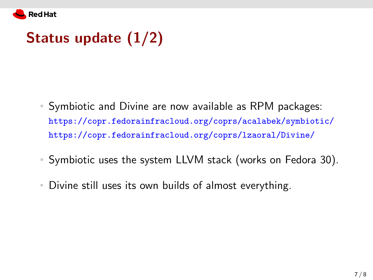

## Status update (1/2)

- Symbiotic and Divine are now available as RPM packages: <https://copr.fedorainfracloud.org/coprs/acalabek/symbiotic/> <https://copr.fedorainfracloud.org/coprs/lzaoral/Divine/>
- Symbiotic uses the system LLVM stack (works on Fedora 30).
- Divine still uses its own builds of almost everything.  $\mathbb{R}^2$